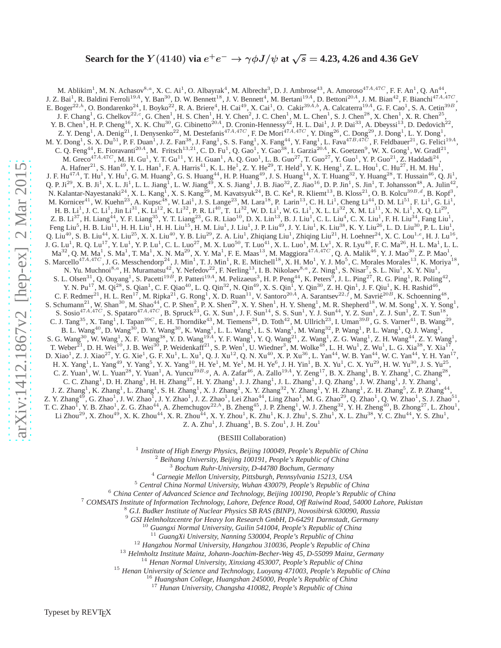# Search for the  $Y(4140)$  via  $e^+e^- \rightarrow \gamma \phi J/\psi$  at  $\sqrt{s} =$  4.23, 4.26 and 4.36 GeV

M. Ablikim<sup>1</sup>, M. N. Achasov<sup>8,a</sup>, X. C. Ai<sup>1</sup>, O. Albayrak<sup>4</sup>, M. Albrecht<sup>3</sup>, D. J. Ambrose<sup>43</sup>, A. Amoroso<sup>47A,47C</sup>, F. F. An<sup>1</sup>, Q. An<sup>44</sup>, J. Z. Bai<sup>1</sup>, R. Baldini Ferroli<sup>19A</sup>, Y. Ban<sup>30</sup>, D. W. Bennett<sup>18</sup>, J. V. Bennett<sup>4</sup>, M. Bertani<sup>19A</sup>, D. Bettoni<sup>20A</sup>, J. M. Bian<sup>42</sup>, F. Bianchi<sup>47A,47C</sup>, E. Boger<sup>22,h</sup>, O. Bondarenko<sup>24</sup>, I. Boyko<sup>22</sup>, R. A. Briere<sup>4</sup>, H. Cai<sup>49</sup>, X. Cai<sup>1</sup>, O. Cakir<sup>39A,b</sup>, A. Calcaterra<sup>19A</sup>, G. F. Cao<sup>1</sup>, S. A. Cetin<sup>39B</sup>, J. F. Chang<sup>1</sup>, G. Chelkov<sup>22,c</sup>, G. Chen<sup>1</sup>, H. S. Chen<sup>1</sup>, H. Y. Chen<sup>2</sup>, J. C. Chen<sup>1</sup>, M. L. Chen<sup>1</sup>, S. J. Chen<sup>28</sup>, X. Chen<sup>1</sup>, X. R. Chen<sup>25</sup>, Y. B. Chen<sup>1</sup>, H. P. Cheng<sup>16</sup>, X. K. Chu<sup>30</sup>, G. Cibinetto<sup>20A</sup>, D. Cronin-Hennessy<sup>42</sup>, H. L. Dai<sup>1</sup>, J. P. Dai<sup>33</sup>, A. Dbeyssi<sup>13</sup>, D. Dedovich<sup>22</sup>, Z. Y. Deng<sup>1</sup>, A. Denig<sup>21</sup>, I. Denysenko<sup>22</sup>, M. Destefanis<sup>47A,47C</sup>, F. De Mori<sup>47A,47C</sup>, Y. Ding<sup>26</sup>, C. Dong<sup>29</sup>, J. Dong<sup>1</sup>, L. Y. Dong<sup>1</sup>, M. Y. Dong<sup>1</sup>, S. X. Du<sup>51</sup>, P. F. Duan<sup>1</sup>, J. Z. Fan<sup>38</sup>, J. Fang<sup>1</sup>, S. S. Fang<sup>1</sup>, X. Fang<sup>44</sup>, Y. Fang<sup>1</sup>, L. Fava<sup>47B,47C</sup>, F. Feldbauer<sup>21</sup>, G. Felici<sup>19A</sup>, C. Q. Feng<sup>44</sup>, E. Fioravanti<sup>20A</sup>, M. Fritsch<sup>13,21</sup>, C. D. Fu<sup>1</sup>, Q. Gao<sup>1</sup>, Y. Gao<sup>38</sup>, I. Garzia<sup>20A</sup>, K. Goetzen<sup>9</sup>, W. X. Gong<sup>1</sup>, W. Gradl<sup>21</sup>, M. Greco<sup>47A,47C</sup>, M. H. Gu<sup>1</sup>, Y. T. Gu<sup>11</sup>, Y. H. Guan<sup>1</sup>, A. Q. Guo<sup>1</sup>, L. B. Guo<sup>27</sup>, T. Guo<sup>27</sup>, Y. Guo<sup>1</sup>, Y. P. Guo<sup>21</sup>, Z. Haddadi<sup>24</sup>, A. Hafner<sup>21</sup>, S. Han<sup>49</sup>, Y. L. Han<sup>1</sup>, F. A. Harris<sup>41</sup>, K. L. He<sup>1</sup>, Z. Y. He<sup>29</sup>, T. Held<sup>3</sup>, Y. K. Heng<sup>1</sup>, Z. L. Hou<sup>1</sup>, C. Hu<sup>27</sup>, H. M. Hu<sup>1</sup>, J. F. Hu<sup>47A</sup>, T. Hu<sup>1</sup>, Y. Hu<sup>1</sup>, G. M. Huang<sup>5</sup>, G. S. Huang<sup>44</sup>, H. P. Huang<sup>49</sup>, J. S. Huang<sup>14</sup>, X. T. Huang<sup>32</sup>, Y. Huang<sup>28</sup>, T. Hussain<sup>46</sup>, Q. Ji<sup>1</sup>, Q. P. Ji<sup>29</sup>, X. B. Ji<sup>1</sup>, X. L. Ji<sup>1</sup>, L. L. Jiang<sup>1</sup>, L. W. Jiang<sup>49</sup>, X. S. Jiang<sup>1</sup>, J. B. Jiao<sup>32</sup>, Z. Jiao<sup>16</sup>, D. P. Jin<sup>1</sup>, S. Jin<sup>1</sup>, T. Johansson<sup>48</sup>, A. Julin<sup>42</sup>, N. Kalantar-Nayestanaki<sup>24</sup>, X. L. Kang<sup>1</sup>, X. S. Kang<sup>29</sup>, M. Kavatsyuk<sup>24</sup>, B. C. Ke<sup>4</sup>, R. Kliemt<sup>13</sup>, B. Kloss<sup>21</sup>, O. B. Kolcu<sup>39B,d</sup>, B. Kopf<sup>3</sup>, M. Kornicer<sup>41</sup>, W. Kuehn<sup>23</sup>, A. Kupsc<sup>48</sup>, W. Lai<sup>1</sup>, J. S. Lange<sup>23</sup>, M. Lara<sup>18</sup>, P. Larin<sup>13</sup>, C. H. Li<sup>1</sup>, Cheng Li<sup>44</sup>, D. M. Li<sup>51</sup>, F. Li<sup>1</sup>, G. Li<sup>1</sup>, H. B. Li<sup>1</sup>, J. C. Li<sup>1</sup>, Jin Li<sup>31</sup>, K. Li<sup>12</sup>, K. Li<sup>32</sup>, P. R. Li<sup>40</sup>, T. Li<sup>32</sup>, W. D. Li<sup>1</sup>, W. G. Li<sup>1</sup>, X. L. Li<sup>32</sup>, X. M. Li<sup>11</sup>, X. N. Li<sup>1</sup>, X. Q. Li<sup>29</sup>, Z. B. Li $^{37}$ , H. Liang $^{44}$ , Y. F. Liang $^{35}$ , Y. T. Liang $^{23}$ , G. R. Liao $^{10}$ , D. X. Lin $^{13}$ , B. J. Liu $^1$ , C. L. Liu $^4$ , C. X. Liu $^1$ , F. H. Liu $^{34}$ , Fang Liu $^1$ , Feng Liu $^5$ , H. B. Liu $^{11}$ , H. H. Liu $^{\overline{1}}$ , H. H. Liu $^{15}$ , H. M. Liu $^1$ , J. Liu $^1$ , J. P. Liu $^{49}$ , J. Y. Liu $^1$ , K. Liu $^{38}$ , K. Y. Liu $^{26}$ , L. D. Liu $^{30}$ , P. L. Liu $^1$ , Q. Liu<sup>40</sup>, S. B. Liu<sup>44</sup>, X. Liu<sup>25</sup>, X. X. Liu<sup>40</sup>, Y. B. Liu<sup>29</sup>, Z. A. Liu<sup>1</sup>, Zhiqiang Liu<sup>1</sup>, Zhiqing Liu<sup>21</sup>, H. Loehner<sup>24</sup>, X. C. Lou<sup>1,e</sup>, H. J. Lu<sup>16</sup>, J. G. Lu<sup>1</sup>, R. Q. Lu<sup>17</sup>, Y. Lu<sup>1</sup>, Y. P. Lu<sup>1</sup>, C. L. Luo<sup>27</sup>, M. X. Luo<sup>50</sup>, T. Luo<sup>41</sup>, X. L. Luo<sup>1</sup>, M. Lv<sup>1</sup>, X. R. Lyu<sup>40</sup>, F. C. Ma<sup>26</sup>, H. L. Ma<sup>1</sup>, L. L.  $\rm Ma^{32}$ , Q. M.  $\rm Ma^{1}$ , S.  $\rm Ma^{1}$ , T.  $\rm Ma^{1}$ , X. N.  $\rm Ma^{29}$ , X. Y.  $\rm Ma^{1}$ , F. E.  $\rm Maas^{13}$ , M.  $\rm Maggiora^{47A,47C}$ , Q. A.  $\rm Malik^{46}$ , Y. J.  $\rm Mao^{30}$ , Z. P.  $\rm Mao^{1}$ , S. Marcello<sup>47A,47C</sup>, J. G. Messchendorp<sup>24</sup>, J. Min<sup>1</sup>, T. J. Min<sup>1</sup>, R. E. Mitchell<sup>18</sup>, X. H. Mo<sup>1</sup>, Y. J. Mo<sup>5</sup>, C. Morales Morales<sup>13</sup>, K. Moriya<sup>18</sup>, N. Yu. Muchnoi<sup>8,a</sup>, H. Muramatsu<sup>42</sup>, Y. Nefedov<sup>22</sup>, F. Nerling<sup>13</sup>, I. B. Nikolaev<sup>8,a</sup>, Z. Ning<sup>1</sup>, S. Nisar<sup>7</sup>, S. L. Niu<sup>1</sup>, X. Y. Niu<sup>1</sup>, S. L. Olsen<sup>31</sup>, Q. Ouyang<sup>1</sup>, S. Pacetti<sup>19B</sup>, P. Patteri<sup>19A</sup>, M. Pelizaeus<sup>3</sup>, H. P. Peng<sup>44</sup>, K. Peters<sup>5</sup>, J. L. Ping<sup>27</sup>, R. G. Ping<sup>1</sup>, R. Poling<sup>42</sup>, Y. N. Pu<sup>17</sup>, M. Qi<sup>28</sup>, S. Qian<sup>1</sup>, C. F. Qiao<sup>40</sup>, L. Q. Qin<sup>32</sup>, N. Qin<sup>49</sup>, X. S. Qin<sup>1</sup>, Y. Qin<sup>30</sup>, Z. H. Qin<sup>1</sup>, J. F. Qiu<sup>1</sup>, K. H. Rashid<sup>46</sup>, C. F. Redmer<sup>21</sup>, H. L. Ren<sup>17</sup>, M. Ripka<sup>21</sup>, G. Rong<sup>1</sup>, X. D. Ruan<sup>11</sup>, V. Santoro<sup>20A</sup>, A. Sarantsev<sup>22, f</sup>, M. Savrié<sup>20B</sup>, K. Schoenning<sup>48</sup>, S. Schumann<sup>21</sup>, W. Shan<sup>30</sup>, M. Shao<sup>44</sup>, C. P. Shen<sup>2</sup>, P. X. Shen<sup>29</sup>, X. Y. Shen<sup>1</sup>, H. Y. Sheng<sup>1</sup>, M. R. Shepherd<sup>18</sup>, W. M. Song<sup>1</sup>, X. Y. Song<sup>1</sup>, S. Sosio<sup>47A,47C</sup>, S. Spataro<sup>47A,47C</sup>, B. Spruck<sup>23</sup>, G. X. Sun<sup>1</sup>, J. F. Sun<sup>14</sup>, S. S. Sun<sup>1</sup>, Y. J. Sun<sup>44</sup>, Y. Z. Sun<sup>1</sup>, Z. J. Sun<sup>1</sup>, Z. T. Sun<sup>18</sup>, C. J. Tang<sup>35</sup>, X. Tang<sup>1</sup>, I. Tapan<sup>39C</sup>, E. H. Thorndike<sup>43</sup>, M. Tiemens<sup>24</sup>, D. Toth<sup>42</sup>, M. Ullrich<sup>23</sup>, I. Uman<sup>39B</sup>, G. S. Varner<sup>41</sup>, B. Wang<sup>29</sup>,<br>P. J. Wang<sup>40</sup>, D. Wang<sup>30</sup>, D. V. Wang<sup>30</sup>, K. Wang<sup>1</sup>, J. J. Wang B. L. Wang<sup>40</sup>, D. Wang<sup>30</sup>, D. Y. Wang<sup>30</sup>, K. Wang<sup>1</sup>, L. L. Wang<sup>1</sup>, L. S. Wang<sup>1</sup>, M. Wang<sup>32</sup>, P. Wang<sup>1</sup>, P. L. Wang<sup>1</sup>, Q. J. Wang<sup>1</sup>, S. G. Wang<sup>30</sup>, W. Wang<sup>1</sup>, X. F. Wang<sup>38</sup>, Y. D. Wang<sup>19A</sup>, Y. F. Wang<sup>1</sup>, Y. Q. Wang<sup>21</sup>, Z. Wang<sup>1</sup>, Z. G. Wang<sup>1</sup>, Z. H. Wang<sup>44</sup>, Z. Y. Wang<sup>1</sup>, T. Weber<sup>21</sup>, D. H. Wei<sup>10</sup>, J. B. Wei<sup>30</sup>, P. Weidenkaff<sup>21</sup>, S. P. Wen<sup>1</sup>, U. Wiedner<sup>3</sup>, M. Wolke<sup>48</sup>, L. H. Wu<sup>1</sup>, Z. Wu<sup>1</sup>, L. G. Xia<sup>38</sup>, Y. Xia<sup>17</sup>, D. Xiao<sup>1</sup>, Z. J. Xiao<sup>27</sup>, Y. G. Xie<sup>1</sup>, G. F. Xu<sup>1</sup>, L. Xu<sup>1</sup>, Q. J. Xu<sup>12</sup>, Q. N. Xu<sup>40</sup>, X. P. Xu<sup>36</sup>, L. Yan<sup>44</sup>, W. B. Yan<sup>44</sup>, W. C. Yan<sup>44</sup>, Y. H. Yan<sup>17</sup>, H. X. Yang<sup>1</sup>, L. Yang<sup>49</sup>, Y. Yang<sup>5</sup>, Y. X. Yang<sup>10</sup>, H. Ye<sup>1</sup>, M. Ye<sup>1</sup>, M. H. Ye<sup>6</sup>, J. H. Yin<sup>1</sup>, B. X. Yu<sup>1</sup>, C. X. Yu<sup>29</sup>, H. W. Yu<sup>30</sup>, J. S. Yu<sup>25</sup>, C. Z. Yuan<sup>1</sup>, W. L. Yuan<sup>28</sup>, Y. Yuan<sup>1</sup>, A. Yuncu<sup>39B,g</sup>, A. A. Zafar<sup>46</sup>, A. Zallo<sup>19A</sup>, Y. Zeng<sup>17</sup>, B. X. Zhang<sup>1</sup>, B. Y. Zhang<sup>1</sup>, C. Zhang<sup>28</sup>, C. C. Zhang<sup>1</sup>, D. H. Zhang<sup>1</sup>, H. H. Zhang<sup>37</sup>, H. Y. Zhang<sup>1</sup>, J. J. Zhang<sup>1</sup>, J. L. Zhang<sup>1</sup>, J. Q. Zhang<sup>1</sup>, J. W. Zhang<sup>1</sup>, J. Y. Zhang<sup>1</sup>, J. Z. Zhang<sup>1</sup>, K. Zhang<sup>1</sup>, L. Zhang<sup>1</sup>, S. H. Zhang<sup>1</sup>, X. J. Zhang<sup>1</sup>, X. Y. Zhang<sup>32</sup>, Y. Zhang<sup>1</sup>, Y. H. Zhang<sup>1</sup>, Z. H. Zhang<sup>5</sup>, Z. P. Zhang<sup>44</sup>, Z. Y. Zhang<sup>49</sup>, G. Zhao<sup>1</sup>, J. W. Zhao<sup>1</sup>, J. Y. Zhao<sup>1</sup>, J. Z. Zhao<sup>1</sup>, Lei Zhao<sup>44</sup>, Ling Zhao<sup>1</sup>, M. G. Zhao<sup>29</sup>, Q. Zhao<sup>1</sup>, Q. W. Zhao<sup>1</sup>, S. J. Zhao<sup>51</sup>, T. C. Zhao<sup>1</sup>, Y. B. Zhao<sup>1</sup>, Z. G. Zhao<sup>44</sup>, A. Zhemchugov<sup>22,h</sup>, B. Zheng<sup>45</sup>, J. P. Zheng<sup>1</sup>, W. J. Zheng<sup>32</sup>, Y. H. Zheng<sup>40</sup>, B. Zhong<sup>27</sup>, L. Zhou<sup>1</sup>, Li Zhou $^{29}$ , X. Zhou $^{49}$ , X. K. Zhou $^{44}$ , X. R. Zhou $^{44}$ , X. Y. Zhou $^1$ , K. Zhu $^1$ , K. J. Zhu $^1$ , S. Zhu $^1$ , X. L. Zhu $^{38}$ , Y. C. Zhu $^{44}$ , Y. S. Zhu $^1$ , Z. A. Zhu<sup>1</sup>, J. Zhuang<sup>1</sup>, B. S. Zou<sup>1</sup>, J. H. Zou<sup>1</sup>

### (BESIII Collaboration)

<sup>1</sup> Institute of High Energy Physics, Beijing 100049, People's Republic of China

- -
- <sup>2</sup> Beihang University, Beijing 100191, People's Republic of China<br><sup>3</sup> Bochum Ruhr-University, D-44780 Bochum, Germany<br><sup>4</sup> Carnegie Mellon University, Pittsburgh, Pennsylvania 15213, USA
- <sup>5</sup> *Central China Normal University, Wuhan 430079, People's Republic of China*

<sup>6</sup> *China Center of Advanced Science and Technology, Beijing 100190, People's Republic of China*

<sup>7</sup> COMSATS Institute of Information Technology, Lahore, Defence Road, Off Raiwind Road, 54000 Lahore, Pakistan<br><sup>8</sup> G.I. Budker Institute of Nuclear Physics SB RAS (BINP), Novosibirsk 630090, Russia<br><sup>9</sup> GSI Helmholtzcentr

- <sup>10</sup> *Guangxi Normal University, Guilin 541004, People's Republic of China*
- <sup>11</sup> *GuangXi University, Nanning 530004, People's Republic of China*

<sup>12</sup> *Hangzhou Normal University, Hangzhou 310036, People's Republic of China*

<sup>13</sup> *Helmholtz Institute Mainz, Johann-Joachim-Becher-Weg 45, D-55099 Mainz, Germany*

<sup>14</sup> *Henan Normal University, Xinxiang 453007, People's Republic of China*

<sup>15</sup> *Henan University of Science and Technology, Luoyang 471003, People's Republic of China*

<sup>16</sup> *Huangshan College, Huangshan 245000, People's Republic of China*

<sup>17</sup> *Hunan University, Changsha 410082, People's Republic of China*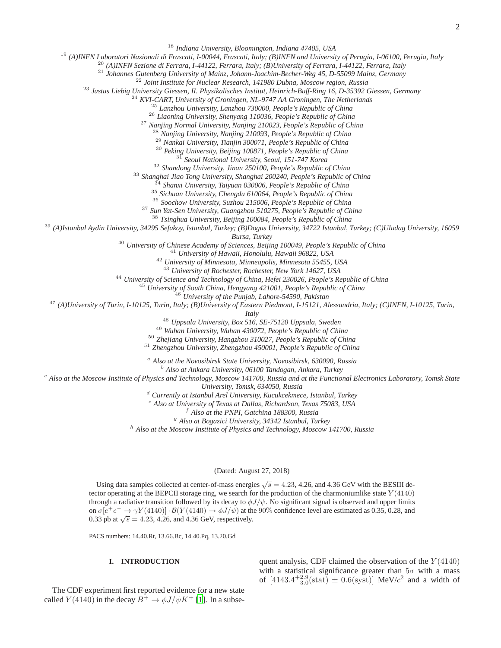<sup>18</sup> *Indiana University, Bloomington, Indiana 47405, USA*

<sup>19</sup> *(A)INFN Laboratori Nazionali di Frascati, I-00044, Frascati, Italy; (B)INFN and University of Perugia, I-06100, Perugia, Italy*

<sup>20</sup> *(A)INFN Sezione di Ferrara, I-44122, Ferrara, Italy; (B)University of Ferrara, I-44122, Ferrara, Italy*

<sup>21</sup> *Johannes Gutenberg University of Mainz, Johann-Joachim-Becher-Weg 45, D-55099 Mainz, Germany*

<sup>22</sup> *Joint Institute for Nuclear Research, 141980 Dubna, Moscow region, Russia*

<sup>23</sup> *Justus Liebig University Giessen, II. Physikalisches Institut, Heinrich-Buff-Ring 16, D-35392 Giessen, Germany*

<sup>24</sup> *KVI-CART, University of Groningen, NL-9747 AA Groningen, The Netherlands*

<sup>25</sup> *Lanzhou University, Lanzhou 730000, People's Republic of China*

<sup>26</sup> *Liaoning University, Shenyang 110036, People's Republic of China*

<sup>27</sup> *Nanjing Normal University, Nanjing 210023, People's Republic of China*

<sup>28</sup> *Nanjing University, Nanjing 210093, People's Republic of China*

<sup>29</sup> *Nankai University, Tianjin 300071, People's Republic of China*

<sup>30</sup> *Peking University, Beijing 100871, People's Republic of China*

<sup>31</sup> *Seoul National University, Seoul, 151-747 Korea*

<sup>32</sup> *Shandong University, Jinan 250100, People's Republic of China*

<sup>33</sup> *Shanghai Jiao Tong University, Shanghai 200240, People's Republic of China*

<sup>34</sup> *Shanxi University, Taiyuan 030006, People's Republic of China*

<sup>35</sup> *Sichuan University, Chengdu 610064, People's Republic of China*

<sup>36</sup> *Soochow University, Suzhou 215006, People's Republic of China*

<sup>37</sup> *Sun Yat-Sen University, Guangzhou 510275, People's Republic of China*

<sup>38</sup> *Tsinghua University, Beijing 100084, People's Republic of China*

<sup>39</sup> *(A)Istanbul Aydin University, 34295 Sefakoy, Istanbul, Turkey; (B)Dogus University, 34722 Istanbul, Turkey; (C)Uludag University, 16059*

*Bursa, Turkey*

<sup>40</sup> *University of Chinese Academy of Sciences, Beijing 100049, People's Republic of China*

<sup>41</sup> *University of Hawaii, Honolulu, Hawaii 96822, USA*

<sup>42</sup> *University of Minnesota, Minneapolis, Minnesota 55455, USA*

<sup>43</sup> *University of Rochester, Rochester, New York 14627, USA*

<sup>44</sup> *University of Science and Technology of China, Hefei 230026, People's Republic of China*

<sup>45</sup> *University of South China, Hengyang 421001, People's Republic of China*

<sup>46</sup> *University of the Punjab, Lahore-54590, Pakistan*

<sup>47</sup> *(A)University of Turin, I-10125, Turin, Italy; (B)University of Eastern Piedmont, I-15121, Alessandria, Italy; (C)INFN, I-10125, Turin,*

*Italy*

<sup>48</sup> *Uppsala University, Box 516, SE-75120 Uppsala, Sweden*

<sup>49</sup> *Wuhan University, Wuhan 430072, People's Republic of China*

<sup>50</sup> *Zhejiang University, Hangzhou 310027, People's Republic of China*

<sup>51</sup> *Zhengzhou University, Zhengzhou 450001, People's Republic of China*

<sup>a</sup> *Also at the Novosibirsk State University, Novosibirsk, 630090, Russia*

<sup>b</sup> *Also at Ankara University, 06100 Tandogan, Ankara, Turkey*

<sup>c</sup> *Also at the Moscow Institute of Physics and Technology, Moscow 141700, Russia and at the Functional Electronics Laboratory, Tomsk State*

*University, Tomsk, 634050, Russia*

<sup>d</sup> *Currently at Istanbul Arel University, Kucukcekmece, Istanbul, Turkey*

<sup>e</sup> *Also at University of Texas at Dallas, Richardson, Texas 75083, USA*

<sup>f</sup> *Also at the PNPI, Gatchina 188300, Russia*

<sup>g</sup> *Also at Bogazici University, 34342 Istanbul, Turkey*

<sup>h</sup> *Also at the Moscow Institute of Physics and Technology, Moscow 141700, Russia*

(Dated: August 27, 2018)

Using data samples collected at center-of-mass energies  $\sqrt{s} = 4.23$ , 4.26, and 4.36 GeV with the BESIII detector operating at the BEPCII storage ring, we search for the production of the charmoniumlike state  $Y(4140)$ through a radiative transition followed by its decay to  $\phi J/\psi$ . No significant signal is observed and upper limits on  $\sigma[e^+e^- \to \gamma Y(4140)] \cdot \mathcal{B}(Y(4140) \to \phi J/\psi)$  at the 90% confidence level are estimated as 0.35, 0.28, and 0.33 pb at  $\sqrt{s} = 4.23, 4.26,$  and 4.36 GeV, respectively.

PACS numbers: 14.40.Rt, 13.66.Bc, 14.40.Pq, 13.20.Gd

### **I. INTRODUCTION**

The CDF experiment first reported evidence for a new state called  $Y(4140)$  in the decay  $B^+ \to \phi J/\psi K^+$  [\[1\]](#page-10-0). In a subsequent analysis, CDF claimed the observation of the  $Y(4140)$ with a statistical significance greater than  $5\sigma$  with a mass of  $[4143.4^{+2.9}_{-3.0}(\text{stat}) \pm 0.6(\text{syst})]$  MeV/ $c^2$  and a width of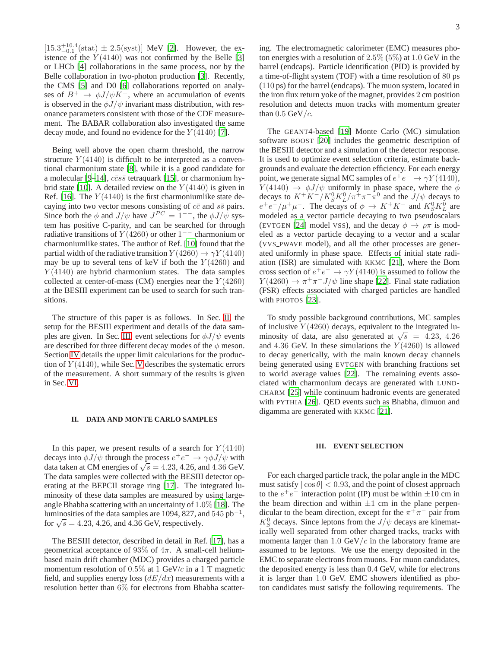$[15.3^{+10.4}_{-0.1}$ (stat)  $\pm 2.5$ (syst)] MeV [\[2\]](#page-10-1). However, the existence of the  $Y(4140)$  was not confirmed by the Belle [\[3\]](#page-10-2) or LHCb [\[4\]](#page-10-3) collaborations in the same process, nor by the Belle collaboration in two-photon production [\[3\]](#page-10-2). Recently, the CMS [\[5\]](#page-10-4) and D0 [\[6\]](#page-10-5) collaborations reported on analyses of  $B^+ \to \phi J/\psi K^+$ , where an accumulation of events is observed in the  $\phi J/\psi$  invariant mass distribution, with resonance parameters consistent with those of the CDF measurement. The BABAR collaboration also investigated the same decay mode, and found no evidence for the  $Y(4140)$  [\[7\]](#page-10-6).

Being well above the open charm threshold, the narrow structure  $Y(4140)$  is difficult to be interpreted as a conventional charmonium state [\[8\]](#page-10-7), while it is a good candidate for a molecular [\[9](#page-10-8)[–14](#page-10-9)],  $c\bar{c}s\bar{s}$  tetraquark [\[15\]](#page-10-10), or charmonium hy-brid state [\[10](#page-10-11)]. A detailed review on the  $Y(4140)$  is given in Ref. [\[16\]](#page-10-12). The  $Y(4140)$  is the first charmoniumlike state decaying into two vector mesons consisting of  $c\bar{c}$  and  $s\bar{s}$  pairs. Since both the  $\phi$  and  $J/\psi$  have  $J^{PC} = 1^{--}$ , the  $\phi J/\psi$  system has positive C-parity, and can be searched for through radiative transitions of  $Y(4260)$  or other 1<sup>--</sup> charmonium or charmoniumlike states. The author of Ref. [\[10](#page-10-11)] found that the partial width of the radiative transition  $Y(4260) \rightarrow \gamma Y(4140)$ may be up to several tens of keV if both the  $Y(4260)$  and  $Y(4140)$  are hybrid charmonium states. The data samples collected at center-of-mass (CM) energies near the  $Y(4260)$ at the BESIII experiment can be used to search for such transitions.

The structure of this paper is as follows. In Sec. [II,](#page-2-0) the setup for the BESIII experiment and details of the data sam-ples are given. In Sec. [III,](#page-2-1) event selections for  $\phi J/\psi$  events are described for three different decay modes of the  $\phi$  meson. Section [IV](#page-5-0) details the upper limit calculations for the production of  $Y(4140)$ , while Sec. [V](#page-7-0) describes the systematic errors of the measurement. A short summary of the results is given in Sec. [VI.](#page-9-0)

### <span id="page-2-0"></span>**II. DATA AND MONTE CARLO SAMPLES**

In this paper, we present results of a search for  $Y(4140)$ decays into  $\phi J/\psi$  through the process  $e^+e^- \to \gamma \phi J/\psi$  with data taken at CM energies of  $\sqrt{s} = 4.23, 4.26,$  and  $4.36$  GeV. The data samples were collected with the BESIII detector operating at the BEPCII storage ring [\[17\]](#page-10-13). The integrated luminosity of these data samples are measured by using largeangle Bhabha scattering with an uncertainty of 1.0% [\[18\]](#page-10-14). The luminosities of the data samples are 1094, 827, and  $545$   $pb<sup>-1</sup>$ , for  $\sqrt{s} = 4.23, 4.26, \text{ and } 4.36 \text{ GeV, respectively.}$ 

The BESIII detector, described in detail in Ref. [\[17](#page-10-13)], has a geometrical acceptance of 93% of  $4\pi$ . A small-cell heliumbased main drift chamber (MDC) provides a charged particle momentum resolution of  $0.5\%$  at 1 GeV/c in a 1 T magnetic field, and supplies energy loss  $(dE/dx)$  measurements with a resolution better than 6% for electrons from Bhabha scattering. The electromagnetic calorimeter (EMC) measures photon energies with a resolution of  $2.5\%$  (5%) at 1.0 GeV in the barrel (endcaps). Particle identification (PID) is provided by a time-of-flight system (TOF) with a time resolution of 80 ps (110 ps) for the barrel (endcaps). The muon system, located in the iron flux return yoke of the magnet, provides 2 cm position resolution and detects muon tracks with momentum greater than  $0.5 \text{ GeV}/c$ .

The GEANT4-based [\[19](#page-10-15)] Monte Carlo (MC) simulation software BOOST [\[20](#page-10-16)] includes the geometric description of the BESIII detector and a simulation of the detector response. It is used to optimize event selection criteria, estimate backgrounds and evaluate the detection efficiency. For each energy point, we generate signal MC samples of  $e^+e^- \to \gamma Y(4140)$ ,  $Y(4140) \rightarrow \phi J/\psi$  uniformly in phase space, where the  $\phi$ decays to  $K^+K^-/K_S^0K_L^0/\pi^+\pi^-\pi^0$  and the  $J/\psi$  decays to  $e^+e^-/\mu^+\mu^-$ . The decays of  $\phi \to K^+K^-$  and  $K^0_SK^0_L$  are modeled as a vector particle decaying to two pseudoscalars (EVTGEN [\[24\]](#page-10-17) model VSS), and the decay  $\phi \to \rho \pi$  is modeled as a vector particle decaying to a vector and a scalar (VVS PWAVE model), and all the other processes are generated uniformly in phase space. Effects of initial state radiation (ISR) are simulated with KKMC [\[21\]](#page-10-18), where the Born cross section of  $e^+e^- \to \gamma Y(4140)$  is assumed to follow the  $Y(4260) \rightarrow \pi^{+}\pi^{-}J/\psi$  line shape [\[22](#page-10-19)]. Final state radiation (FSR) effects associated with charged particles are handled with PHOTOS [\[23\]](#page-10-20).

To study possible background contributions, MC samples of inclusive  $Y(4260)$  decays, equivalent to the integrated luminosity of data, are also generated at  $\sqrt{s}$  = 4.23, 4.26 and 4.36 GeV. In these simulations the  $Y(4260)$  is allowed to decay generically, with the main known decay channels being generated using EVTGEN with branching fractions set to world average values [\[22\]](#page-10-19). The remaining events associated with charmonium decays are generated with LUND-CHARM [\[25](#page-10-21)] while continuum hadronic events are generated with PYTHIA [\[26\]](#page-10-22). QED events such as Bhabha, dimuon and digamma are generated with KKMC [\[21](#page-10-18)].

### <span id="page-2-1"></span>**III. EVENT SELECTION**

For each charged particle track, the polar angle in the MDC must satisfy  $|\cos \theta|$  < 0.93, and the point of closest approach to the  $e^+e^-$  interaction point (IP) must be within  $\pm 10$  cm in the beam direction and within  $\pm 1$  cm in the plane perpendicular to the beam direction, except for the  $\pi^{+}\pi^{-}$  pair from  $K_S^0$  decays. Since leptons from the  $J/\psi$  decays are kinematically well separated from other charged tracks, tracks with momenta larger than 1.0 GeV/ $c$  in the laboratory frame are assumed to be leptons. We use the energy deposited in the EMC to separate electrons from muons. For muon candidates, the deposited energy is less than 0.4 GeV, while for electrons it is larger than 1.0 GeV. EMC showers identified as photon candidates must satisfy the following requirements. The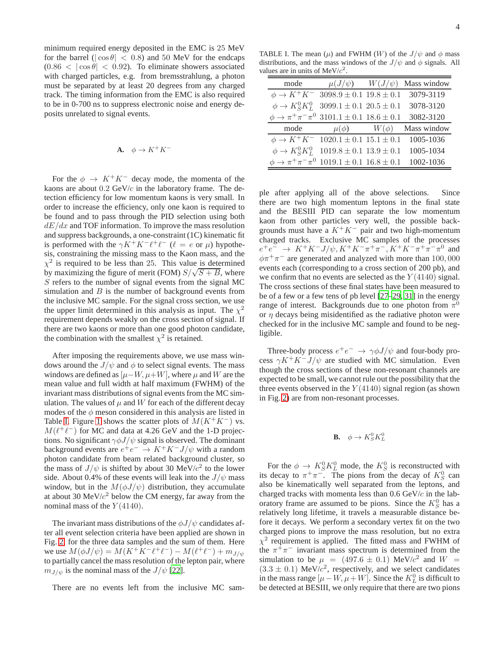minimum required energy deposited in the EMC is 25 MeV for the barrel ( $|\cos \theta|$  < 0.8) and 50 MeV for the endcaps  $(0.86 < |\cos \theta| < 0.92)$ . To eliminate showers associated with charged particles, e.g. from bremsstrahlung, a photon must be separated by at least 20 degrees from any charged track. The timing information from the EMC is also required to be in 0-700 ns to suppress electronic noise and energy deposits unrelated to signal events.

$$
\mathbf{A.} \quad \phi \to K^+ K^-
$$

For the  $\phi \rightarrow K^+K^-$  decay mode, the momenta of the kaons are about  $0.2 \text{ GeV}/c$  in the laboratory frame. The detection efficiency for low momentum kaons is very small. In order to increase the efficiency, only one kaon is required to be found and to pass through the PID selection using both  $dE/dx$  and TOF information. To improve the mass resolution and suppress backgrounds, a one-constraint (1C) kinematic fit is performed with the  $\gamma K^+ K^- \ell^+ \ell^-$  ( $\ell = e$  or  $\mu$ ) hypothesis, constraining the missing mass to the Kaon mass, and the  $\chi^2$  is required to be less than 25. This value is determined by maximizing the figure of merit (FOM)  $S/\sqrt{S+B}$ , where S refers to the number of signal events from the signal MC simulation and  $B$  is the number of background events from the inclusive MC sample. For the signal cross section, we use the upper limit determined in this analysis as input. The  $\chi^2$ requirement depends weakly on the cross section of signal. If there are two kaons or more than one good photon candidate, the combination with the smallest  $\chi^2$  is retained.

After imposing the requirements above, we use mass windows around the  $J/\psi$  and  $\phi$  to select signal events. The mass windows are defined as  $[\mu-W, \mu+W]$ , where  $\mu$  and W are the mean value and full width at half maximum (FWHM) of the invariant mass distributions of signal events from the MC simulation. The values of  $\mu$  and W for each of the different decay modes of the  $\phi$  meson considered in this analysis are listed in Table [I.](#page-3-0) Figure [1](#page-4-0) shows the scatter plots of  $M(K^+K^-)$  vs.  $M(\ell^+\ell^-)$  for MC and data at 4.26 GeV and the 1-D projections. No significant  $\gamma \phi J/\psi$  signal is observed. The dominant background events are  $e^+e^- \rightarrow K^+K^-J/\psi$  with a random photon candidate from beam related background cluster, so the mass of  $J/\psi$  is shifted by about 30 MeV/ $c^2$  to the lower side. About 0.4% of these events will leak into the  $J/\psi$  mass window, but in the  $M(\phi J/\psi)$  distribution, they accumulate at about 30 MeV/ $c^2$  below the CM energy, far away from the nominal mass of the  $Y(4140)$ .

The invariant mass distributions of the  $\phi J/\psi$  candidates after all event selection criteria have been applied are shown in Fig. [2,](#page-5-1) for the three data samples and the sum of them. Here we use  $M(\phi J/\psi) = M(K^{+}K^{-}\ell^{+}\ell^{-}) - M(\ell^{+}\ell^{-}) + m_{J/\psi}$ to partially cancel the mass resolution of the lepton pair, where  $m_{J/\psi}$  is the nominal mass of the  $J/\psi$  [\[22](#page-10-19)].

There are no events left from the inclusive MC sam-

TABLE I. The mean  $(\mu)$  and FWHM  $(W)$  of the  $J/\psi$  and  $\phi$  mass distributions, and the mass windows of the  $J/\psi$  and  $\phi$  signals. All values are in units of  $MeV/c^2$ .

<span id="page-3-0"></span>

| mode                                                                 |                                 |           | $\mu(J/\psi)$ $W(J/\psi)$ Mass window |
|----------------------------------------------------------------------|---------------------------------|-----------|---------------------------------------|
| $\phi \rightarrow K^+K^-$                                            | $3098.9 \pm 0.1$ $19.8 \pm 0.1$ |           | 3079-3119                             |
| $\phi \rightarrow K_S^0 K_L^0$                                       | $3099.1 \pm 0.1$ $20.5 \pm 0.1$ |           | 3078-3120                             |
| $\phi \rightarrow \pi^+ \pi^- \pi^0$ 3101.1 $\pm$ 0.1 18.6 $\pm$ 0.1 |                                 |           | 3082-3120                             |
| mode                                                                 | $\mu(\phi)$                     | $W(\phi)$ | Mass window                           |
| $\phi \rightarrow K^+K^-$                                            | $1020.1 \pm 0.1$ $15.1 \pm 0.1$ |           | 1005-1036                             |
| $\phi \rightarrow K_S^0 K_L^0$                                       | $1019.8 \pm 0.1$ $13.9 \pm 0.1$ |           | 1005-1034                             |
| $\phi \rightarrow \pi^+ \pi^- \pi^0$ 1019.1 ± 0.1 16.8 ± 0.1         |                                 |           | 1002-1036                             |

ple after applying all of the above selections. Since there are two high momentum leptons in the final state and the BESIII PID can separate the low momentum kaon from other particles very well, the possible backgrounds must have a  $K^+K^-$  pair and two high-momentum charged tracks. Exclusive MC samples of the processes  $e^+e^- \rightarrow K^+K^-J/\psi, K^+K^-\pi^+\pi^-, K^+K^-\pi^+\pi^-\pi^0$  and  $\phi \pi^+ \pi^-$  are generated and analyzed with more than 100,000 events each (corresponding to a cross section of 200 pb), and we confirm that no events are selected as the  $Y(4140)$  signal. The cross sections of these final states have been measured to be of a few or a few tens of pb level [\[27](#page-10-23)[–29,](#page-10-24) [31\]](#page-10-25) in the energy range of interest. Backgrounds due to one photon from  $\pi^0$ or  $\eta$  decays being misidentified as the radiative photon were checked for in the inclusive MC sample and found to be negligible.

Three-body process  $e^+e^- \rightarrow \gamma \phi J/\psi$  and four-body process  $\gamma K^+ K^- J/\psi$  are studied with MC simulation. Even though the cross sections of these non-resonant channels are expected to be small, we cannot rule out the possibility that the three events observed in the  $Y(4140)$  signal region (as shown in Fig. [2\)](#page-5-1) are from non-resonant processes.

**B.** 
$$
\phi \to K_S^0 K_L^0
$$

For the  $\phi \to K_S^0 K_L^0$  mode, the  $K_S^0$  is reconstructed with its decay to  $\pi^+\pi^-$ . The pions from the decay of  $K_S^0$  can also be kinematically well separated from the leptons, and charged tracks with momenta less than 0.6 GeV/c in the laboratory frame are assumed to be pions. Since the  $K_S^0$  has a relatively long lifetime, it travels a measurable distance before it decays. We perform a secondary vertex fit on the two charged pions to improve the mass resolution, but no extra  $\chi^2$  requirement is applied. The fitted mass and FWHM of the  $\pi^+\pi^-$  invariant mass spectrum is determined from the simulation to be  $\mu$  = (497.6  $\pm$  0.1) MeV/ $c^2$  and  $W$  =  $(3.3 \pm 0.1)$  MeV/ $c^2$ , respectively, and we select candidates in the mass range  $[\mu - W, \mu + W]$ . Since the  $K^0_L$  is difficult to be detected at BESIII, we only require that there are two pions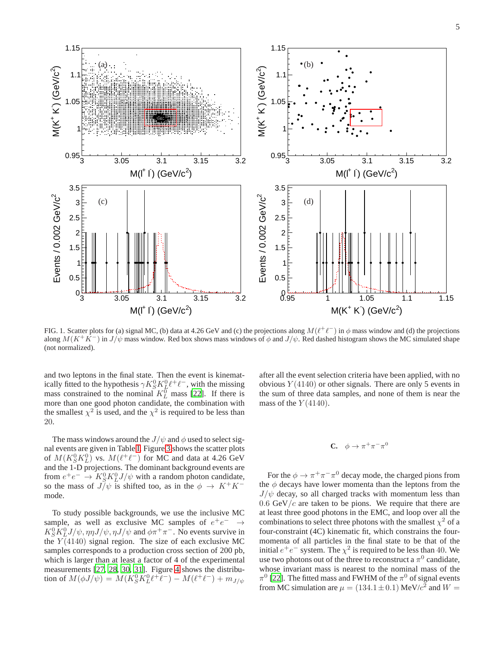

<span id="page-4-0"></span>FIG. 1. Scatter plots for (a) signal MC, (b) data at 4.26 GeV and (c) the projections along  $M(\ell^+\ell^-)$  in  $\phi$  mass window and (d) the projections along  $M(K^+K^-)$  in  $J/\psi$  mass window. Red box shows mass windows of  $\phi$  and  $J/\psi$ . Red dashed histogram shows the MC simulated shape (not normalized).

and two leptons in the final state. Then the event is kinematically fitted to the hypothesis  $\gamma K_S^0 K_L^0 l^+ l^-$ , with the missing mass constrained to the nominal  $K_L^{\overline{0}}$  mass [\[22\]](#page-10-19). If there is more than one good photon candidate, the combination with the smallest  $\chi^2$  is used, and the  $\chi^2$  is required to be less than 20.

The mass windows around the  $J/\psi$  and  $\phi$  used to select signal events are given in Table [I.](#page-3-0) Figure [3](#page-6-0) shows the scatter plots of  $M(K_S^0 K_L^0)$  vs.  $M(\ell^+ \ell^-)$  for MC and data at 4.26 GeV and the 1-D projections. The dominant background events are from  $e^+e^- \rightarrow K_S^0 K_L^0 J/\psi$  with a random photon candidate, so the mass of  $J/\psi$  is shifted too, as in the  $\phi \to K^+K^$ mode.

To study possible backgrounds, we use the inclusive MC sample, as well as exclusive MC samples of  $e^+e^- \rightarrow$  $K_S^0 K_L^0 J/\psi, \eta \eta J/\psi, \eta J/\psi$  and  $\phi \pi^+ \pi^-$ . No events survive in the  $Y(4140)$  signal region. The size of each exclusive MC samples corresponds to a production cross section of 200 pb, which is larger than at least a factor of 4 of the experimental measurements [\[27,](#page-10-23) [28](#page-10-26), [30,](#page-10-27) [31](#page-10-25)]. Figure [4](#page-7-1) shows the distribution of  $M(\phi J/\psi) = M(K_S^0 K_L^0 \ell^+ \ell^-) - M(\ell^+ \ell^-) + m_{J/\psi}$ 

after all the event selection criteria have been applied, with no obvious  $Y(4140)$  or other signals. There are only 5 events in the sum of three data samples, and none of them is near the mass of the  $Y(4140)$ .

# **C.**  $\phi \to \pi^+ \pi^- \pi^0$

For the  $\phi \to \pi^+ \pi^- \pi^0$  decay mode, the charged pions from the  $\phi$  decays have lower momenta than the leptons from the  $J/\psi$  decay, so all charged tracks with momentum less than  $0.6$  GeV/c are taken to be pions. We require that there are at least three good photons in the EMC, and loop over all the combinations to select three photons with the smallest  $\chi^2$  of a four-constraint (4C) kinematic fit, which constrains the fourmomenta of all particles in the final state to be that of the initial  $e^+e^-$  system. The  $\chi^2$  is required to be less than 40. We use two photons out of the three to reconstruct a  $\pi^0$  candidate, whose invariant mass is nearest to the nominal mass of the  $\pi^0$  [\[22\]](#page-10-19). The fitted mass and FWHM of the  $\pi^0$  of signal events from MC simulation are  $\mu = (134.1 \pm 0.1) \text{ MeV}/c^2$  and  $W =$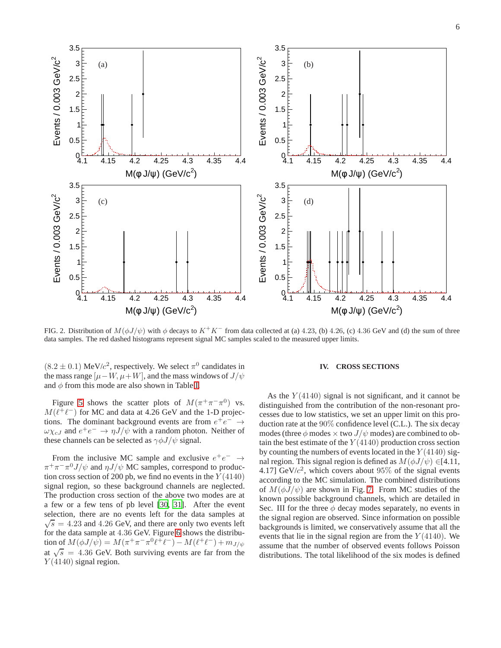

<span id="page-5-1"></span>FIG. 2. Distribution of  $M(\phi J/\psi)$  with  $\phi$  decays to  $K^+K^-$  from data collected at (a) 4.23, (b) 4.26, (c) 4.36 GeV and (d) the sum of three data samples. The red dashed histograms represent signal MC samples scaled to the measured upper limits.

 $(8.2 \pm 0.1)$  MeV/c<sup>2</sup>, respectively. We select  $\pi^0$  candidates in the mass range  $[\mu-W, \mu+W]$ , and the mass windows of  $J/\psi$ and  $\phi$  from this mode are also shown in Table [I.](#page-3-0)

Figure [5](#page-8-0) shows the scatter plots of  $M(\pi^+\pi^-\pi^0)$  vs.  $M(\ell^+ \ell^-)$  for MC and data at 4.26 GeV and the 1-D projections. The dominant background events are from  $e^+e^- \rightarrow$  $\omega \chi_{cJ}$  and  $e^+e^- \to \eta J/\psi$  with a random photon. Neither of these channels can be selected as  $\gamma \phi J/\psi$  signal.

From the inclusive MC sample and exclusive  $e^+e^- \rightarrow$  $\pi^+\pi^-\pi^0 J/\psi$  and  $\eta J/\psi$  MC samples, correspond to production cross section of 200 pb, we find no events in the  $Y(4140)$ signal region, so these background channels are neglected. The production cross section of the above two modes are at a few or a few tens of pb level [\[30](#page-10-27), [31](#page-10-25)]. After the event selection, there are no events left for the data samples at  $\sqrt{s}$  = 4.23 and 4.26 GeV, and there are only two events left for the data sample at 4.36 GeV. Figure [6](#page-8-1) shows the distribution of  $M(\phi J/\psi) = M(\pi^+\pi^-\pi^0\ell^+\ell^-) - M(\ell^+\ell^-) + m_{J/\psi}$ at  $\sqrt{s}$  = 4.36 GeV. Both surviving events are far from the  $Y(4140)$  signal region.

### <span id="page-5-0"></span>**IV. CROSS SECTIONS**

As the  $Y(4140)$  signal is not significant, and it cannot be distinguished from the contribution of the non-resonant processes due to low statistics, we set an upper limit on this production rate at the 90% confidence level (C.L.). The six decay modes (three  $\phi$  modes  $\times$  two  $J/\psi$  modes) are combined to obtain the best estimate of the  $Y(4140)$  production cross section by counting the numbers of events located in the  $Y(4140)$  signal region. This signal region is defined as  $M(\phi J/\psi) \in [4.11]$ , 4.17]  $GeV/c^2$ , which covers about 95% of the signal events according to the MC simulation. The combined distributions of  $M(\phi J/\psi)$  are shown in Fig. [7.](#page-9-1) From MC studies of the known possible background channels, which are detailed in Sec. III for the three  $\phi$  decay modes separately, no events in the signal region are observed. Since information on possible backgrounds is limited, we conservatively assume that all the events that lie in the signal region are from the  $Y(4140)$ . We assume that the number of observed events follows Poisson distributions. The total likelihood of the six modes is defined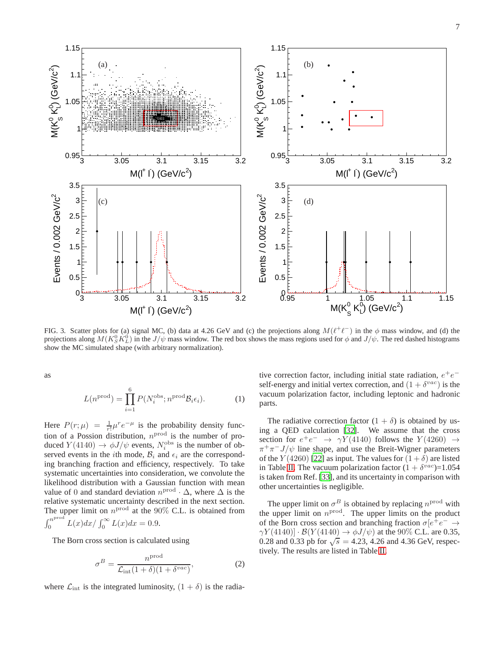

<span id="page-6-0"></span>FIG. 3. Scatter plots for (a) signal MC, (b) data at 4.26 GeV and (c) the projections along  $M(\ell^+\ell^-)$  in the  $\phi$  mass window, and (d) the projections along  $M(K_S^0 K_L^0)$  in the  $J/\psi$  mass window. The red box shows the mass regions used for  $\phi$  and  $J/\psi$ . The red dashed histograms show the MC simulated shape (with arbitrary normalization).

as

$$
L(n^{\text{prod}}) = \prod_{i=1}^{6} P(N_i^{\text{obs}}; n^{\text{prod}} \mathcal{B}_i \epsilon_i).
$$
 (1)

Here  $P(r; \mu) = \frac{1}{r!} \mu^r e^{-\mu}$  is the probability density function of a Possion distribution,  $n^{\text{prod}}$  is the number of produced  $Y(4140) \rightarrow \phi J/\psi$  events,  $N_i^{\text{obs}}$  is the number of observed events in the *i*th mode,  $B_i$  and  $\epsilon_i$  are the corresponding branching fraction and efficiency, respectively. To take systematic uncertainties into consideration, we convolute the likelihood distribution with a Gaussian function with mean value of 0 and standard deviation  $n^{\text{prod}} \cdot \Delta$ , where  $\Delta$  is the relative systematic uncertainty described in the next section. The upper limit on  $n^{\text{prod}}$  at the 90% C.L. is obtained from  $\int_0^{n^{\text{prod}}}$  $\int_0^{R} L(x) dx / \int_0^{\infty} L(x) dx = 0.9.$ 

The Born cross section is calculated using

$$
\sigma^B = \frac{n^{\text{prod}}}{\mathcal{L}_{\text{int}}(1+\delta)(1+\delta^{vac})},\tag{2}
$$

where  $\mathcal{L}_{int}$  is the integrated luminosity,  $(1 + \delta)$  is the radia-

tive correction factor, including initial state radiation,  $e^+e^$ self-energy and initial vertex correction, and  $(1 + \delta^{vac})$  is the vacuum polarization factor, including leptonic and hadronic parts.

The radiative correction factor  $(1 + \delta)$  is obtained by using a QED calculation [\[32](#page-10-28)]. We assume that the cross section for  $e^+e^- \rightarrow \gamma Y(4140)$  follows the  $Y(4260) \rightarrow$  $\pi^{+}\pi^{-}J/\psi$  line shape, and use the Breit-Wigner parameters of the  $Y(4260)$  [\[22\]](#page-10-19) as input. The values for  $(1 + \delta)$  are listed in Table [II.](#page-7-2) The vacuum polarization factor  $(1 + \delta^{vac}) = 1.054$ is taken from Ref. [\[33](#page-10-29)], and its uncertainty in comparison with other uncertainties is negligible.

The upper limit on  $\sigma^B$  is obtained by replacing  $n^{\text{prod}}$  with the upper limit on  $n^{\text{prod}}$ . The upper limits on the product of the Born cross section and branching fraction  $\sigma[e^+e^- \to$  $\gamma Y(4140) \cdot \mathcal{B}(Y(4140) \rightarrow \phi J/\psi)$  at the 90% C.L. are 0.35, 0.28 and 0.33 pb for  $\sqrt{s} = 4.23, 4.26$  and 4.36 GeV, respectively. The results are listed in Table [II.](#page-7-2)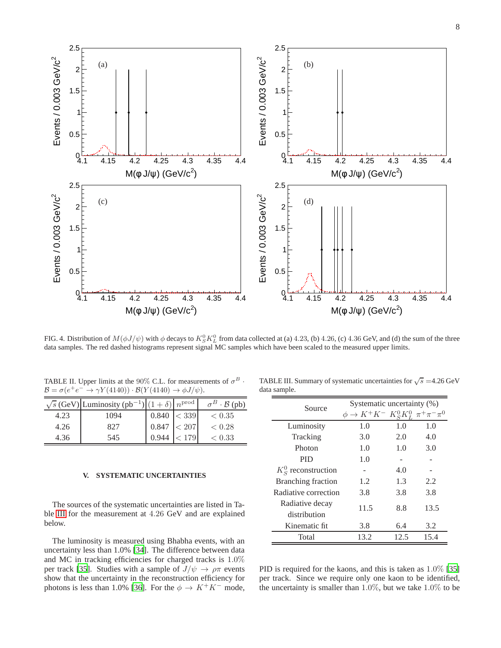

<span id="page-7-1"></span>FIG. 4. Distribution of  $M(\phi J/\psi)$  with  $\phi$  decays to  $K_S^0K_L^0$  from data collected at (a) 4.23, (b) 4.26, (c) 4.36 GeV, and (d) the sum of the three data samples. The red dashed histograms represent signal MC samples which have been scaled to the measured upper limits.

<span id="page-7-2"></span>

| TABLE II. Upper limits at the 90% C.L. for measurements of $\sigma^B$ .                       |  |
|-----------------------------------------------------------------------------------------------|--|
| $\mathcal{B} = \sigma(e^+e^- \to \gamma Y(4140)) \cdot \mathcal{B}(Y(4140) \to \phi J/\psi).$ |  |

|      | $\sqrt{s}$ (GeV) Luminosity (pb <sup>-1</sup> ) $ (1+\delta) n^{\text{prod}} $ |              | $\sigma^B \cdot \mathcal{B}$ (pb) |
|------|--------------------------------------------------------------------------------|--------------|-----------------------------------|
| 4.23 | 1094                                                                           | 0.840 < 339  | < 0.35                            |
| 4.26 | 827                                                                            | 0.847  < 207 | ${}< 0.28$                        |
| 4.36 | 545                                                                            | 0.944        | < 0.33                            |

## <span id="page-7-0"></span>**V. SYSTEMATIC UNCERTAINTIES**

The sources of the systematic uncertainties are listed in Table [III](#page-7-3) for the measurement at 4.26 GeV and are explained below.

The luminosity is measured using Bhabha events, with an uncertainty less than 1.0% [\[34\]](#page-10-30). The difference between data and MC in tracking efficiencies for charged tracks is 1.0% per track [\[35\]](#page-10-31). Studies with a sample of  $J/\psi \to \rho \pi$  events show that the uncertainty in the reconstruction efficiency for photons is less than 1.0% [\[36\]](#page-10-32). For the  $\phi \to K^+K^-$  mode,

TABLE III. Summary of systematic uncertainties for  $\sqrt{s} = 4.26$  GeV data sample.

<span id="page-7-3"></span>

| Source                          | Systematic uncertainty (%)                     |      |      |  |
|---------------------------------|------------------------------------------------|------|------|--|
|                                 | $\rightarrow K^+K^ K^0_SK^0_L \pi^+\pi^-\pi^0$ |      |      |  |
| Luminosity                      | 1.0                                            | 1.0  | 1.0  |  |
| Tracking                        | 3.0                                            | 2.0  | 4.0  |  |
| Photon                          | 1.0                                            | 1.0  | 3.0  |  |
| PID                             | 1.0                                            |      |      |  |
| $K_S^0$ reconstruction          |                                                | 4.0  |      |  |
| <b>Branching fraction</b>       | 1.2                                            | 1.3  | 2.2. |  |
| Radiative correction            | 3.8                                            | 3.8  | 3.8  |  |
| Radiative decay<br>distribution | 11.5                                           | 8.8  | 13.5 |  |
| Kinematic fit.                  | 3.8                                            | 6.4  | 3.2  |  |
| Total                           | 13.2                                           | 12.5 | 15.4 |  |

PID is required for the kaons, and this is taken as 1.0% [\[35\]](#page-10-31) per track. Since we require only one kaon to be identified, the uncertainty is smaller than  $1.0\%$ , but we take  $1.0\%$  to be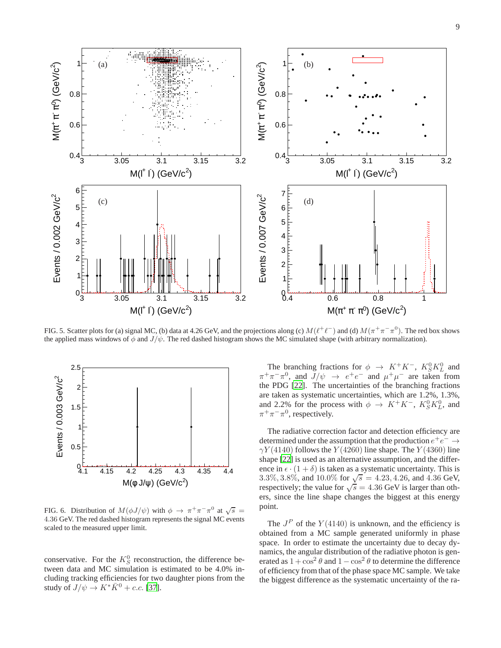

<span id="page-8-0"></span>FIG. 5. Scatter plots for (a) signal MC, (b) data at 4.26 GeV, and the projections along (c)  $M(\ell^+\ell^-)$  and (d)  $M(\pi^+\pi^-\pi^0)$ . The red box shows the applied mass windows of  $\phi$  and  $J/\psi$ . The red dashed histogram shows the MC simulated shape (with arbitrary normalization).



<span id="page-8-1"></span>FIG. 6. Distribution of  $M(\phi J/\psi)$  with  $\phi \to \pi^+\pi^-\pi^0$  at  $\sqrt{s} =$ 4.36 GeV. The red dashed histogram represents the signal MC events scaled to the measured upper limit.

conservative. For the  $K_S^0$  reconstruction, the difference between data and MC simulation is estimated to be 4.0% including tracking efficiencies for two daughter pions from the study of  $J/\psi \rightarrow K^* \bar{K}^0 + c.c.$  [\[37\]](#page-10-33).

The branching fractions for  $\phi \rightarrow K^+K^-$ ,  $K_S^0K_L^0$  and  $\pi^+\pi^-\pi^0$ , and  $J/\psi \rightarrow e^+e^-$  and  $\mu^+\mu^-$  are taken from the PDG [\[22\]](#page-10-19). The uncertainties of the branching fractions are taken as systematic uncertainties, which are 1.2%, 1.3%, and 2.2% for the process with  $\phi \rightarrow K^+K^-$ ,  $K_S^0K_L^0$ , and  $\pi^+\pi^-\pi^0$ , respectively.

The radiative correction factor and detection efficiency are determined under the assumption that the production  $e^+e^- \rightarrow$  $\gamma Y(4140)$  follows the Y (4260) line shape. The Y (4360) line shape [\[22](#page-10-19)] is used as an alternative assumption, and the difference in  $\epsilon \cdot (1 + \delta)$  is taken as a systematic uncertainty. This is 3.3%, 3.8%, and 10.0% for  $\sqrt{s} = 4.23, 4.26,$  and 4.36 GeV, respectively; the value for  $\sqrt{s} = 4.36$  GeV is larger than others, since the line shape changes the biggest at this energy point.

The  $J<sup>P</sup>$  of the  $Y(4140)$  is unknown, and the efficiency is obtained from a MC sample generated uniformly in phase space. In order to estimate the uncertainty due to decay dynamics, the angular distribution of the radiative photon is generated as  $1 + \cos^2 \theta$  and  $1 - \cos^2 \theta$  to determine the difference of efficiency from that of the phase space MC sample. We take the biggest difference as the systematic uncertainty of the ra-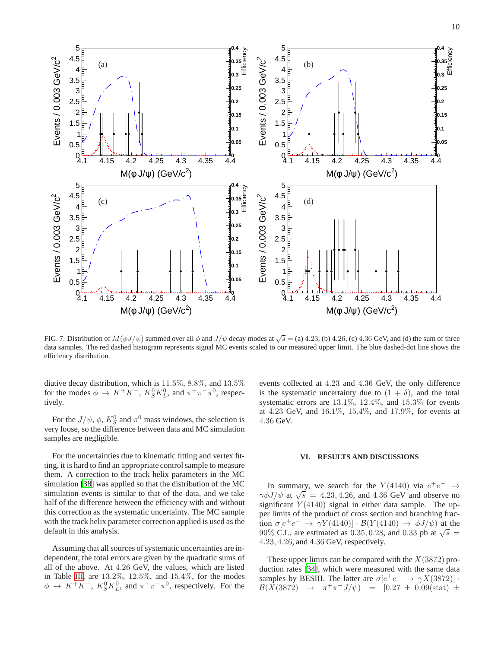

<span id="page-9-1"></span>FIG. 7. Distribution of  $M(\phi J/\psi)$  summed over all  $\phi$  and  $J/\psi$  decay modes at  $\sqrt{s} =$  (a) 4.23, (b) 4.26, (c) 4.36 GeV, and (d) the sum of three data samples. The red dashed histogram represents signal MC events scaled to our measured upper limit. The blue dashed-dot line shows the efficiency distribution.

diative decay distribution, which is 11.5%, 8.8%, and 13.5% for the modes  $\phi \to K^+K^-$ ,  $K_S^0K_L^0$ , and  $\pi^+\pi^-\pi^0$ , respectively.

For the  $J/\psi$ ,  $\phi$ ,  $K_S^0$  and  $\pi^0$  mass windows, the selection is very loose, so the difference between data and MC simulation samples are negligible.

For the uncertainties due to kinematic fitting and vertex fitting, it is hard to find an appropriate control sample to measure them. A correction to the track helix parameters in the MC simulation [\[38\]](#page-10-34) was applied so that the distribution of the MC simulation events is similar to that of the data, and we take half of the difference between the efficiency with and without this correction as the systematic uncertainty. The MC sample with the track helix parameter correction applied is used as the default in this analysis.

Assuming that all sources of systematic uncertainties are independent, the total errors are given by the quadratic sums of all of the above. At 4.26 GeV, the values, which are listed in Table [III,](#page-7-3) are 13.2%, 12.5%, and 15.4%, for the modes  $\phi \rightarrow K^+K^-$ ,  $K_S^0K_L^0$ , and  $\pi^+\pi^-\pi^0$ , respectively. For the

events collected at 4.23 and 4.36 GeV, the only difference is the systematic uncertainty due to  $(1 + \delta)$ , and the total systematic errors are 13.1%, 12.4%, and 15.3% for events at 4.23 GeV, and 16.1%, 15.4%, and 17.9%, for events at 4.36 GeV.

### <span id="page-9-0"></span>**VI. RESULTS AND DISCUSSIONS**

In summary, we search for the  $Y(4140)$  via  $e^+e^- \rightarrow$  $\gamma \phi J/\psi$  at  $\sqrt{s}$  = 4.23, 4.26, and 4.36 GeV and observe no significant  $Y(4140)$  signal in either data sample. The upper limits of the product of cross section and branching fraction  $\sigma[e^+e^- \to \gamma Y(4140)] \cdot \mathcal{B}(Y(4140) \to \phi J/\psi)$  at the 90% C.L. are estimated as 0.35, 0.28, and 0.33 pb at  $\sqrt{s}$  = 4.23, 4.26, and 4.36 GeV, respectively.

These upper limits can be compared with the  $X(3872)$  production rates [\[34](#page-10-30)], which were measured with the same data samples by BESIII. The latter are  $\sigma[e^+e^- \to \gamma X(3872)]$ .  $\mathcal{B}(\vec{X}(3872) \rightarrow \pi^{+}\pi^{-}J/\psi) = [0.27 \pm 0.09(\text{stat})^2 \pm$